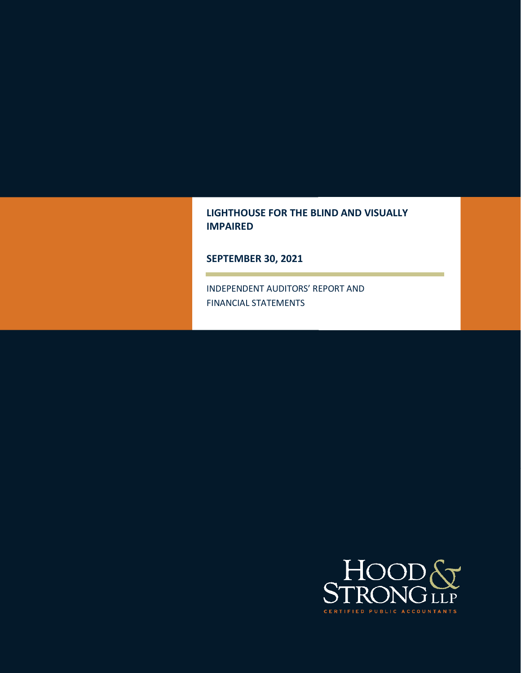# **LIGHTHOUSE FOR THE BLIND AND VISUALLY IMPAIRED**

**SEPTEMBER 30, 2021** 

INDEPENDENT AUDITORS' REPORT AND FINANCIAL STATEMENTS

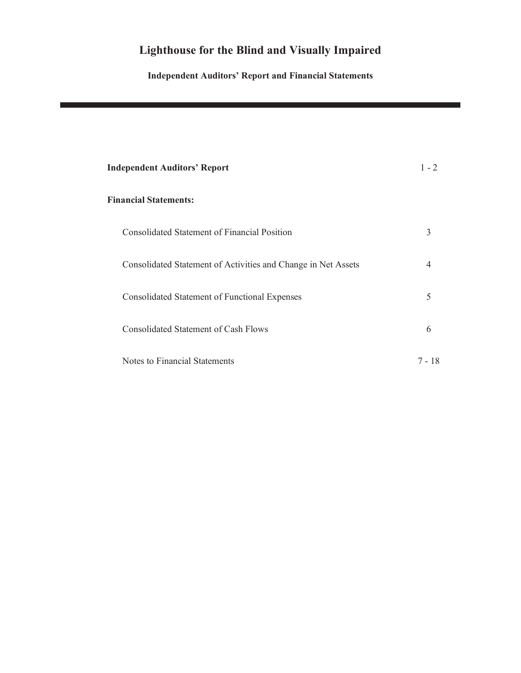# **Independent Auditors' Report and Financial Statements**

| <b>Independent Auditors' Report</b>                           | $1 - 2$ |
|---------------------------------------------------------------|---------|
| <b>Financial Statements:</b>                                  |         |
| Consolidated Statement of Financial Position                  | 3       |
| Consolidated Statement of Activities and Change in Net Assets | 4       |
| <b>Consolidated Statement of Functional Expenses</b>          | 5       |
| <b>Consolidated Statement of Cash Flows</b>                   | 6       |
| Notes to Financial Statements                                 | 7 - 18  |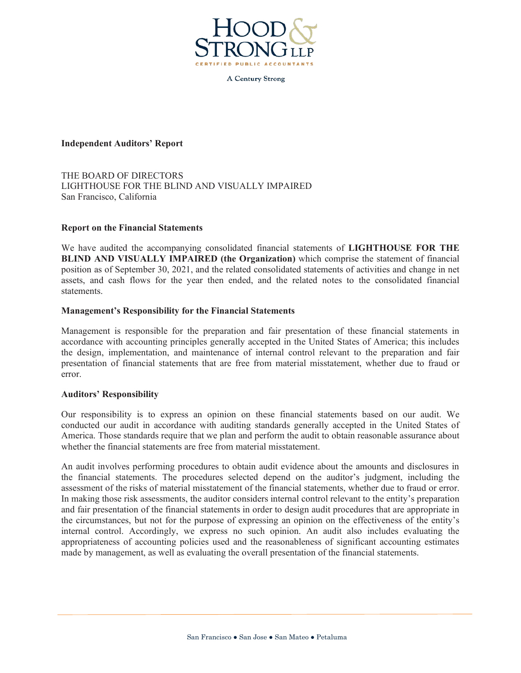

**A Century Strong** 

#### **Independent Auditors' Report**

THE BOARD OF DIRECTORS LIGHTHOUSE FOR THE BLIND AND VISUALLY IMPAIRED San Francisco, California

#### **Report on the Financial Statements**

We have audited the accompanying consolidated financial statements of **LIGHTHOUSE FOR THE BLIND AND VISUALLY IMPAIRED (the Organization)** which comprise the statement of financial position as of September 30, 2021, and the related consolidated statements of activities and change in net assets, and cash flows for the year then ended, and the related notes to the consolidated financial statements.

#### **Management's Responsibility for the Financial Statements**

Management is responsible for the preparation and fair presentation of these financial statements in accordance with accounting principles generally accepted in the United States of America; this includes the design, implementation, and maintenance of internal control relevant to the preparation and fair presentation of financial statements that are free from material misstatement, whether due to fraud or error.

#### **Auditors' Responsibility**

Our responsibility is to express an opinion on these financial statements based on our audit. We conducted our audit in accordance with auditing standards generally accepted in the United States of America. Those standards require that we plan and perform the audit to obtain reasonable assurance about whether the financial statements are free from material misstatement.

An audit involves performing procedures to obtain audit evidence about the amounts and disclosures in the financial statements. The procedures selected depend on the auditor's judgment, including the assessment of the risks of material misstatement of the financial statements, whether due to fraud or error. In making those risk assessments, the auditor considers internal control relevant to the entity's preparation and fair presentation of the financial statements in order to design audit procedures that are appropriate in the circumstances, but not for the purpose of expressing an opinion on the effectiveness of the entity's internal control. Accordingly, we express no such opinion. An audit also includes evaluating the appropriateness of accounting policies used and the reasonableness of significant accounting estimates made by management, as well as evaluating the overall presentation of the financial statements.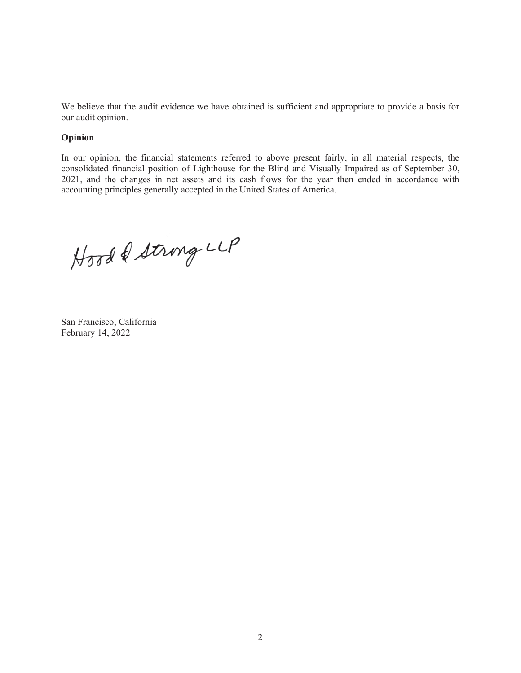We believe that the audit evidence we have obtained is sufficient and appropriate to provide a basis for our audit opinion.

#### **Opinion**

In our opinion, the financial statements referred to above present fairly, in all material respects, the consolidated financial position of Lighthouse for the Blind and Visually Impaired as of September 30, 2021, and the changes in net assets and its cash flows for the year then ended in accordance with accounting principles generally accepted in the United States of America.

Hood & Strong LLP

San Francisco, California February 14, 2022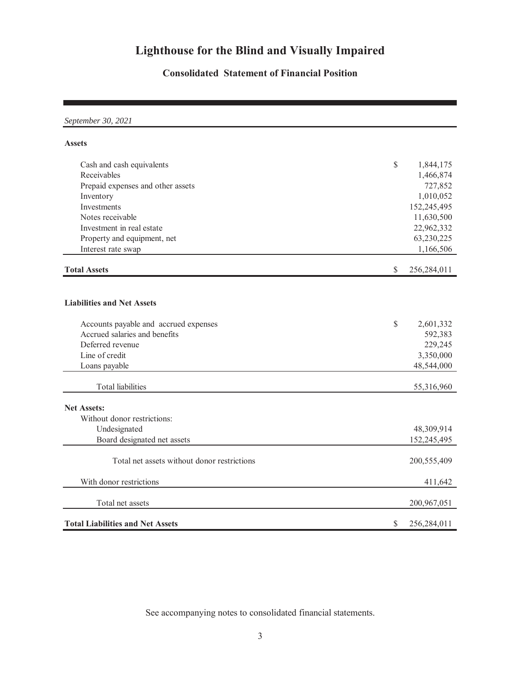## **Consolidated Statement of Financial Position**

*September 30, 2021*

#### **Assets**

| Cash and cash equivalents                   | $\mathbb{S}$ | 1,844,175   |
|---------------------------------------------|--------------|-------------|
| Receivables                                 |              | 1,466,874   |
| Prepaid expenses and other assets           |              | 727,852     |
| Inventory                                   |              | 1,010,052   |
| Investments                                 |              | 152,245,495 |
| Notes receivable                            |              | 11,630,500  |
| Investment in real estate                   |              | 22,962,332  |
| Property and equipment, net                 |              | 63,230,225  |
| Interest rate swap                          |              | 1,166,506   |
| <b>Total Assets</b>                         | \$           | 256,284,011 |
|                                             |              |             |
| <b>Liabilities and Net Assets</b>           |              |             |
| Accounts payable and accrued expenses       | $\mathbb{S}$ | 2,601,332   |
| Accrued salaries and benefits               |              | 592,383     |
| Deferred revenue                            |              | 229,245     |
| Line of credit                              |              | 3,350,000   |
| Loans payable                               |              | 48,544,000  |
| <b>Total liabilities</b>                    |              | 55,316,960  |
| <b>Net Assets:</b>                          |              |             |
| Without donor restrictions:                 |              |             |
| Undesignated                                |              | 48,309,914  |
| Board designated net assets                 |              | 152,245,495 |
|                                             |              |             |
| Total net assets without donor restrictions |              | 200,555,409 |
| With donor restrictions                     |              | 411,642     |
| Total net assets                            |              | 200,967,051 |
| <b>Total Liabilities and Net Assets</b>     | \$           | 256,284,011 |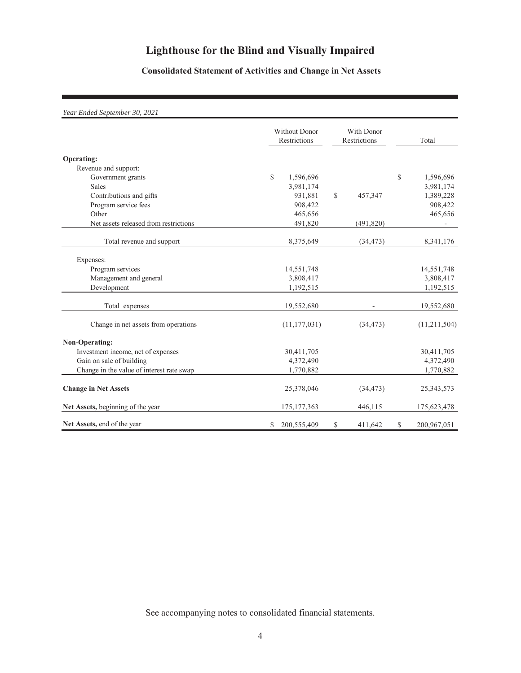## **Consolidated Statement of Activities and Change in Net Assets**

#### *Year Ended September 30, 2021*

|                                           |              | <b>Without Donor</b><br>Restrictions |               | With Donor<br>Restrictions |              | Total        |
|-------------------------------------------|--------------|--------------------------------------|---------------|----------------------------|--------------|--------------|
| Operating:                                |              |                                      |               |                            |              |              |
| Revenue and support:                      |              |                                      |               |                            |              |              |
| Government grants                         | $\mathbb{S}$ | 1,596,696                            |               |                            | $\mathbb{S}$ | 1,596,696    |
| <b>Sales</b>                              |              | 3,981,174                            |               |                            |              | 3,981,174    |
| Contributions and gifts                   |              | 931,881                              | $\mathcal{S}$ | 457,347                    |              | 1,389,228    |
| Program service fees                      |              | 908,422                              |               |                            |              | 908,422      |
| Other                                     |              | 465,656                              |               |                            |              | 465,656      |
| Net assets released from restrictions     |              | 491,820                              |               | (491, 820)                 |              |              |
| Total revenue and support                 |              | 8,375,649                            |               | (34, 473)                  |              | 8,341,176    |
| Expenses:                                 |              |                                      |               |                            |              |              |
| Program services                          |              | 14,551,748                           |               |                            |              | 14,551,748   |
| Management and general                    |              | 3,808,417                            |               |                            |              | 3,808,417    |
| Development                               |              | 1,192,515                            |               |                            |              | 1,192,515    |
| Total expenses                            |              | 19,552,680                           |               |                            |              | 19,552,680   |
| Change in net assets from operations      |              | (11, 177, 031)                       |               | (34, 473)                  |              | (11,211,504) |
| <b>Non-Operating:</b>                     |              |                                      |               |                            |              |              |
| Investment income, net of expenses        |              | 30,411,705                           |               |                            |              | 30,411,705   |
| Gain on sale of building                  |              | 4,372,490                            |               |                            |              | 4,372,490    |
| Change in the value of interest rate swap |              | 1,770,882                            |               |                            |              | 1,770,882    |
| <b>Change in Net Assets</b>               |              | 25,378,046                           |               | (34, 473)                  |              | 25, 343, 573 |
| Net Assets, beginning of the year         |              | 175, 177, 363                        |               | 446,115                    |              | 175,623,478  |
| Net Assets, end of the year               | \$           | 200,555,409                          | \$            | 411,642                    | \$           | 200,967,051  |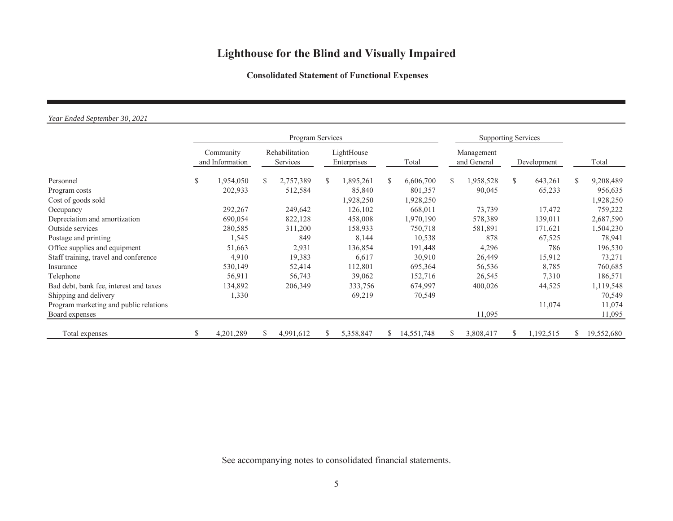### **Consolidated Statement of Functional Expenses**

#### *Year Ended September 30, 2021*

|                                        |    | Program Services             |    |                            |     |                           |    | <b>Supporting Services</b> |    |                           |              |             |     |            |
|----------------------------------------|----|------------------------------|----|----------------------------|-----|---------------------------|----|----------------------------|----|---------------------------|--------------|-------------|-----|------------|
|                                        |    | Community<br>and Information |    | Rehabilitation<br>Services |     | LightHouse<br>Enterprises |    | Total                      |    | Management<br>and General |              | Development |     | Total      |
| Personnel                              | S. | 1,954,050                    | S. | 2,757,389                  | \$. | 1,895,261                 | S. | 6,606,700                  | S. | ,958,528                  | $\mathbb{S}$ | 643,261     | \$. | 9,208,489  |
| Program costs                          |    | 202,933                      |    | 512,584                    |     | 85,840                    |    | 801,357                    |    | 90,045                    |              | 65,233      |     | 956,635    |
| Cost of goods sold                     |    |                              |    |                            |     | 1,928,250                 |    | 1,928,250                  |    |                           |              |             |     | 1,928,250  |
| Occupancy                              |    | 292,267                      |    | 249,642                    |     | 126,102                   |    | 668,011                    |    | 73,739                    |              | 17,472      |     | 759,222    |
| Depreciation and amortization          |    | 690,054                      |    | 822,128                    |     | 458,008                   |    | 1,970,190                  |    | 578,389                   |              | 139,011     |     | 2,687,590  |
| Outside services                       |    | 280,585                      |    | 311,200                    |     | 158,933                   |    | 750,718                    |    | 581,891                   |              | 171,621     |     | 1,504,230  |
| Postage and printing                   |    | 1,545                        |    | 849                        |     | 8,144                     |    | 10,538                     |    | 878                       |              | 67,525      |     | 78,941     |
| Office supplies and equipment          |    | 51,663                       |    | 2,931                      |     | 136,854                   |    | 191,448                    |    | 4,296                     |              | 786         |     | 196,530    |
| Staff training, travel and conference  |    | 4,910                        |    | 19,383                     |     | 6,617                     |    | 30,910                     |    | 26,449                    |              | 15,912      |     | 73,271     |
| Insurance                              |    | 530,149                      |    | 52,414                     |     | 112,801                   |    | 695,364                    |    | 56,536                    |              | 8,785       |     | 760,685    |
| Telephone                              |    | 56,911                       |    | 56,743                     |     | 39,062                    |    | 152,716                    |    | 26,545                    |              | 7,310       |     | 186,571    |
| Bad debt, bank fee, interest and taxes |    | 134,892                      |    | 206,349                    |     | 333,756                   |    | 674,997                    |    | 400,026                   |              | 44,525      |     | 1,119,548  |
| Shipping and delivery                  |    | 1,330                        |    |                            |     | 69,219                    |    | 70,549                     |    |                           |              |             |     | 70,549     |
| Program marketing and public relations |    |                              |    |                            |     |                           |    |                            |    |                           |              | 11,074      |     | 11,074     |
| Board expenses                         |    |                              |    |                            |     |                           |    |                            |    | 11,095                    |              |             |     | 11,095     |
| Total expenses                         | S  | 4,201,289                    | ъ. | 4,991,612                  | S.  | 5,358,847                 | S. | 14,551,748                 | S. | 3,808,417                 | S.           | 1,192,515   | S.  | 19,552,680 |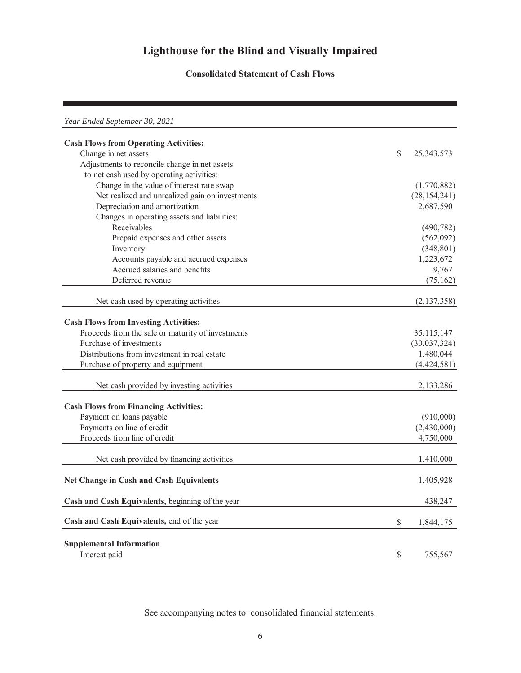### **Consolidated Statement of Cash Flows**

| Year Ended September 30, 2021                     |                    |
|---------------------------------------------------|--------------------|
| <b>Cash Flows from Operating Activities:</b>      |                    |
| Change in net assets                              | \$<br>25, 343, 573 |
| Adjustments to reconcile change in net assets     |                    |
| to net cash used by operating activities:         |                    |
| Change in the value of interest rate swap         | (1,770,882)        |
| Net realized and unrealized gain on investments   | (28, 154, 241)     |
| Depreciation and amortization                     | 2,687,590          |
| Changes in operating assets and liabilities:      |                    |
| Receivables                                       | (490, 782)         |
| Prepaid expenses and other assets                 | (562,092)          |
| Inventory                                         | (348, 801)         |
| Accounts payable and accrued expenses             | 1,223,672          |
| Accrued salaries and benefits                     | 9,767              |
| Deferred revenue                                  | (75, 162)          |
| Net cash used by operating activities             | (2,137,358)        |
|                                                   |                    |
| <b>Cash Flows from Investing Activities:</b>      |                    |
| Proceeds from the sale or maturity of investments | 35,115,147         |
| Purchase of investments                           | (30,037,324)       |
| Distributions from investment in real estate      | 1,480,044          |
| Purchase of property and equipment                | (4,424,581)        |
| Net cash provided by investing activities         | 2,133,286          |
| <b>Cash Flows from Financing Activities:</b>      |                    |
| Payment on loans payable                          | (910,000)          |
| Payments on line of credit                        | (2,430,000)        |
| Proceeds from line of credit                      | 4,750,000          |
|                                                   |                    |
| Net cash provided by financing activities         | 1,410,000          |
| <b>Net Change in Cash and Cash Equivalents</b>    | 1,405,928          |
| Cash and Cash Equivalents, beginning of the year  | 438,247            |
| Cash and Cash Equivalents, end of the year        | \$<br>1,844,175    |
| <b>Supplemental Information</b><br>Interest paid  | \$<br>755,567      |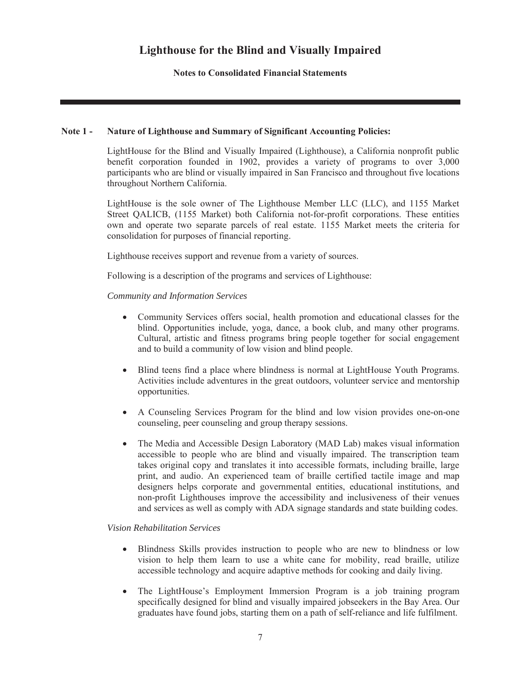**Notes to Consolidated Financial Statements**

### **Note 1 - Nature of Lighthouse and Summary of Significant Accounting Policies:**

LightHouse for the Blind and Visually Impaired (Lighthouse), a California nonprofit public benefit corporation founded in 1902, provides a variety of programs to over 3,000 participants who are blind or visually impaired in San Francisco and throughout five locations throughout Northern California.

LightHouse is the sole owner of The Lighthouse Member LLC (LLC), and 1155 Market Street QALICB, (1155 Market) both California not-for-profit corporations. These entities own and operate two separate parcels of real estate. 1155 Market meets the criteria for consolidation for purposes of financial reporting.

Lighthouse receives support and revenue from a variety of sources.

Following is a description of the programs and services of Lighthouse:

### *Community and Information Services*

- Community Services offers social, health promotion and educational classes for the blind. Opportunities include, yoga, dance, a book club, and many other programs. Cultural, artistic and fitness programs bring people together for social engagement and to build a community of low vision and blind people.
- x Blind teens find a place where blindness is normal at LightHouse Youth Programs. Activities include adventures in the great outdoors, volunteer service and mentorship opportunities.
- x A Counseling Services Program for the blind and low vision provides one-on-one counseling, peer counseling and group therapy sessions.
- The Media and Accessible Design Laboratory (MAD Lab) makes visual information accessible to people who are blind and visually impaired. The transcription team takes original copy and translates it into accessible formats, including braille, large print, and audio. An experienced team of braille certified tactile image and map designers helps corporate and governmental entities, educational institutions, and non-profit Lighthouses improve the accessibility and inclusiveness of their venues and services as well as comply with ADA signage standards and state building codes.

### *Vision Rehabilitation Services*

- Blindness Skills provides instruction to people who are new to blindness or low vision to help them learn to use a white cane for mobility, read braille, utilize accessible technology and acquire adaptive methods for cooking and daily living.
- The LightHouse's Employment Immersion Program is a job training program specifically designed for blind and visually impaired jobseekers in the Bay Area. Our graduates have found jobs, starting them on a path of self-reliance and life fulfilment.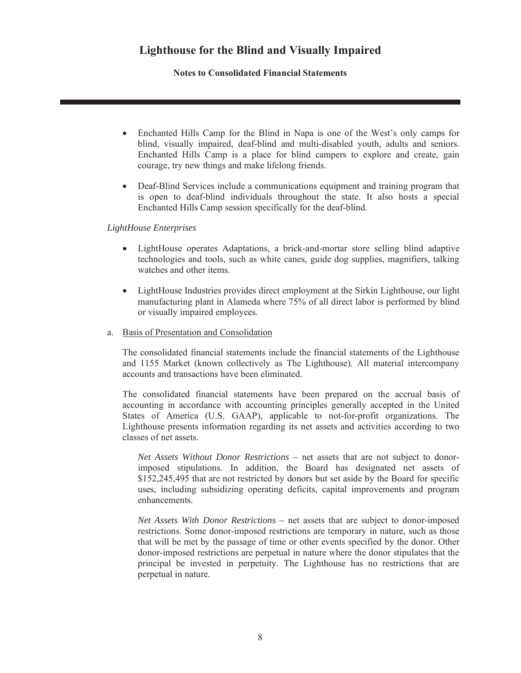**Notes to Consolidated Financial Statements**

- Enchanted Hills Camp for the Blind in Napa is one of the West's only camps for blind, visually impaired, deaf-blind and multi-disabled youth, adults and seniors. Enchanted Hills Camp is a place for blind campers to explore and create, gain courage, try new things and make lifelong friends.
- Deaf-Blind Services include a communications equipment and training program that is open to deaf-blind individuals throughout the state. It also hosts a special Enchanted Hills Camp session specifically for the deaf-blind.

#### *LightHouse Enterprises*

- LightHouse operates Adaptations, a brick-and-mortar store selling blind adaptive technologies and tools, such as white canes, guide dog supplies, magnifiers, talking watches and other items.
- LightHouse Industries provides direct employment at the Sirkin Lighthouse, our light manufacturing plant in Alameda where 75% of all direct labor is performed by blind or visually impaired employees.
- a. Basis of Presentation and Consolidation

The consolidated financial statements include the financial statements of the Lighthouse and 1155 Market (known collectively as The Lighthouse). All material intercompany accounts and transactions have been eliminated.

The consolidated financial statements have been prepared on the accrual basis of accounting in accordance with accounting principles generally accepted in the United States of America (U.S. GAAP), applicable to not-for-profit organizations. The Lighthouse presents information regarding its net assets and activities according to two classes of net assets.

*Net Assets Without Donor Restrictions –* net assets that are not subject to donorimposed stipulations. In addition, the Board has designated net assets of \$152,245,495 that are not restricted by donors but set aside by the Board for specific uses, including subsidizing operating deficits, capital improvements and program enhancements.

*Net Assets With Donor Restrictions –* net assets that are subject to donor-imposed restrictions. Some donor-imposed restrictions are temporary in nature, such as those that will be met by the passage of time or other events specified by the donor. Other donor-imposed restrictions are perpetual in nature where the donor stipulates that the principal be invested in perpetuity. The Lighthouse has no restrictions that are perpetual in nature.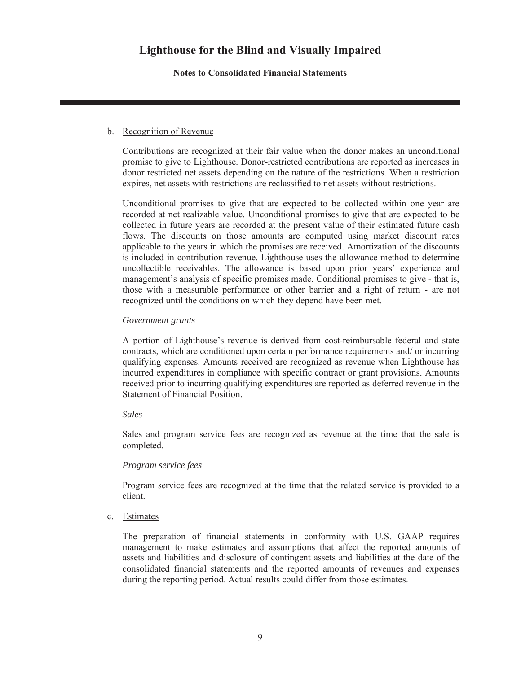**Notes to Consolidated Financial Statements**

### b. Recognition of Revenue

Contributions are recognized at their fair value when the donor makes an unconditional promise to give to Lighthouse. Donor-restricted contributions are reported as increases in donor restricted net assets depending on the nature of the restrictions. When a restriction expires, net assets with restrictions are reclassified to net assets without restrictions.

Unconditional promises to give that are expected to be collected within one year are recorded at net realizable value. Unconditional promises to give that are expected to be collected in future years are recorded at the present value of their estimated future cash flows. The discounts on those amounts are computed using market discount rates applicable to the years in which the promises are received. Amortization of the discounts is included in contribution revenue. Lighthouse uses the allowance method to determine uncollectible receivables. The allowance is based upon prior years' experience and management's analysis of specific promises made. Conditional promises to give - that is, those with a measurable performance or other barrier and a right of return - are not recognized until the conditions on which they depend have been met.

### *Government grants*

A portion of Lighthouse's revenue is derived from cost-reimbursable federal and state contracts, which are conditioned upon certain performance requirements and/ or incurring qualifying expenses. Amounts received are recognized as revenue when Lighthouse has incurred expenditures in compliance with specific contract or grant provisions. Amounts received prior to incurring qualifying expenditures are reported as deferred revenue in the Statement of Financial Position.

### *Sales*

Sales and program service fees are recognized as revenue at the time that the sale is completed.

### *Program service fees*

Program service fees are recognized at the time that the related service is provided to a client.

#### c. Estimates

The preparation of financial statements in conformity with U.S. GAAP requires management to make estimates and assumptions that affect the reported amounts of assets and liabilities and disclosure of contingent assets and liabilities at the date of the consolidated financial statements and the reported amounts of revenues and expenses during the reporting period. Actual results could differ from those estimates.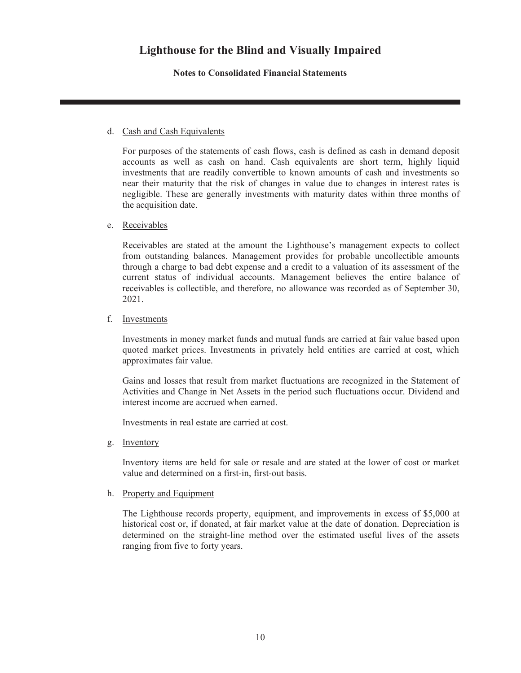**Notes to Consolidated Financial Statements**

### d. Cash and Cash Equivalents

For purposes of the statements of cash flows, cash is defined as cash in demand deposit accounts as well as cash on hand. Cash equivalents are short term, highly liquid investments that are readily convertible to known amounts of cash and investments so near their maturity that the risk of changes in value due to changes in interest rates is negligible. These are generally investments with maturity dates within three months of the acquisition date.

### e. Receivables

Receivables are stated at the amount the Lighthouse's management expects to collect from outstanding balances. Management provides for probable uncollectible amounts through a charge to bad debt expense and a credit to a valuation of its assessment of the current status of individual accounts. Management believes the entire balance of receivables is collectible, and therefore, no allowance was recorded as of September 30, 2021.

#### f. Investments

Investments in money market funds and mutual funds are carried at fair value based upon quoted market prices. Investments in privately held entities are carried at cost, which approximates fair value.

Gains and losses that result from market fluctuations are recognized in the Statement of Activities and Change in Net Assets in the period such fluctuations occur. Dividend and interest income are accrued when earned.

Investments in real estate are carried at cost.

g. Inventory

Inventory items are held for sale or resale and are stated at the lower of cost or market value and determined on a first-in, first-out basis.

#### h. Property and Equipment

The Lighthouse records property, equipment, and improvements in excess of \$5,000 at historical cost or, if donated, at fair market value at the date of donation. Depreciation is determined on the straight-line method over the estimated useful lives of the assets ranging from five to forty years.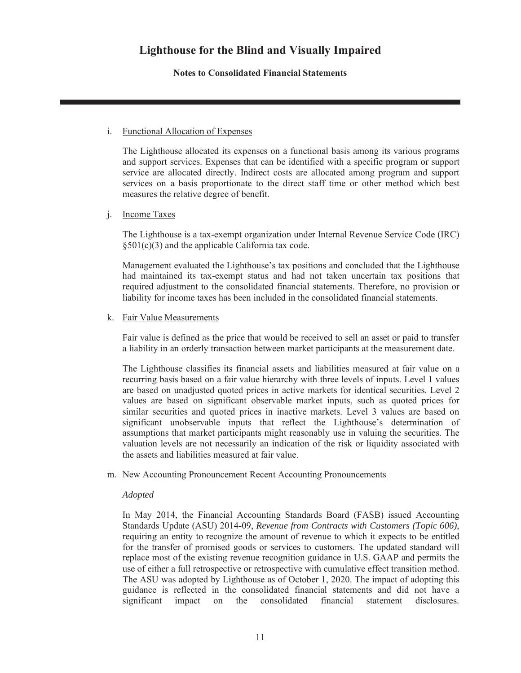**Notes to Consolidated Financial Statements**

### i. Functional Allocation of Expenses

The Lighthouse allocated its expenses on a functional basis among its various programs and support services. Expenses that can be identified with a specific program or support service are allocated directly. Indirect costs are allocated among program and support services on a basis proportionate to the direct staff time or other method which best measures the relative degree of benefit.

### j. Income Taxes

The Lighthouse is a tax-exempt organization under Internal Revenue Service Code (IRC)  $§501(c)(3)$  and the applicable California tax code.

Management evaluated the Lighthouse's tax positions and concluded that the Lighthouse had maintained its tax-exempt status and had not taken uncertain tax positions that required adjustment to the consolidated financial statements. Therefore, no provision or liability for income taxes has been included in the consolidated financial statements.

#### k. Fair Value Measurements

Fair value is defined as the price that would be received to sell an asset or paid to transfer a liability in an orderly transaction between market participants at the measurement date.

The Lighthouse classifies its financial assets and liabilities measured at fair value on a recurring basis based on a fair value hierarchy with three levels of inputs. Level 1 values are based on unadjusted quoted prices in active markets for identical securities. Level 2 values are based on significant observable market inputs, such as quoted prices for similar securities and quoted prices in inactive markets. Level 3 values are based on significant unobservable inputs that reflect the Lighthouse's determination of assumptions that market participants might reasonably use in valuing the securities. The valuation levels are not necessarily an indication of the risk or liquidity associated with the assets and liabilities measured at fair value.

#### m. New Accounting Pronouncement Recent Accounting Pronouncements

#### *Adopted*

In May 2014, the Financial Accounting Standards Board (FASB) issued Accounting Standards Update (ASU) 2014-09, *Revenue from Contracts with Customers (Topic 606)*, requiring an entity to recognize the amount of revenue to which it expects to be entitled for the transfer of promised goods or services to customers. The updated standard will replace most of the existing revenue recognition guidance in U.S. GAAP and permits the use of either a full retrospective or retrospective with cumulative effect transition method. The ASU was adopted by Lighthouse as of October 1, 2020. The impact of adopting this guidance is reflected in the consolidated financial statements and did not have a significant impact on the consolidated financial statement disclosures.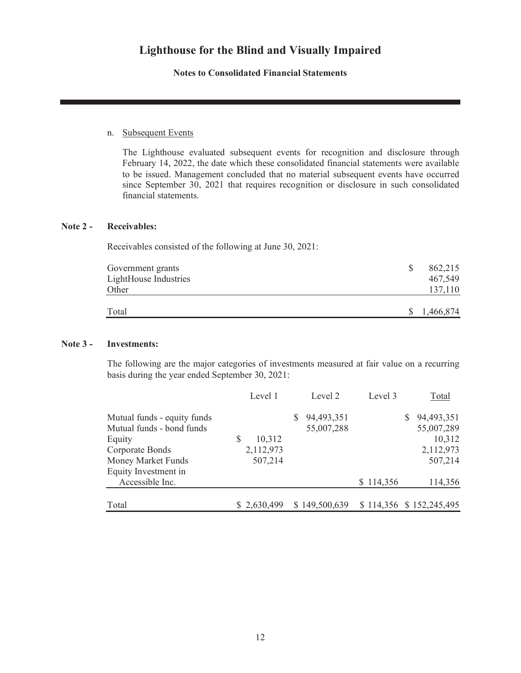**Notes to Consolidated Financial Statements**

#### n. Subsequent Events

The Lighthouse evaluated subsequent events for recognition and disclosure through February 14, 2022, the date which these consolidated financial statements were available to be issued. Management concluded that no material subsequent events have occurred since September 30, 2021 that requires recognition or disclosure in such consolidated financial statements.

#### **Note 2 - Receivables:**

Receivables consisted of the following at June 30, 2021:

| Government grants<br>LightHouse Industries<br>Other | 862,215<br>467,549<br>137,110 |  |
|-----------------------------------------------------|-------------------------------|--|
| Total                                               | 1,466,874<br><sup>S</sup>     |  |

#### **Note 3 - Investments:**

The following are the major categories of investments measured at fair value on a recurring basis during the year ended September 30, 2021:

|                             | Level 1     | Level 2       | Level 3   | Total                   |
|-----------------------------|-------------|---------------|-----------|-------------------------|
| Mutual funds - equity funds |             | 94,493,351    |           | 94,493,351<br>S.        |
| Mutual funds - bond funds   |             | 55,007,288    |           | 55,007,289              |
| Equity                      | S<br>10,312 |               |           | 10,312                  |
| Corporate Bonds             | 2,112,973   |               |           | 2,112,973               |
| Money Market Funds          | 507,214     |               |           | 507,214                 |
| Equity Investment in        |             |               |           |                         |
| Accessible Inc.             |             |               | \$114,356 | 114,356                 |
| Total                       | \$2,630,499 | \$149,500,639 |           | \$114,356 \$152,245,495 |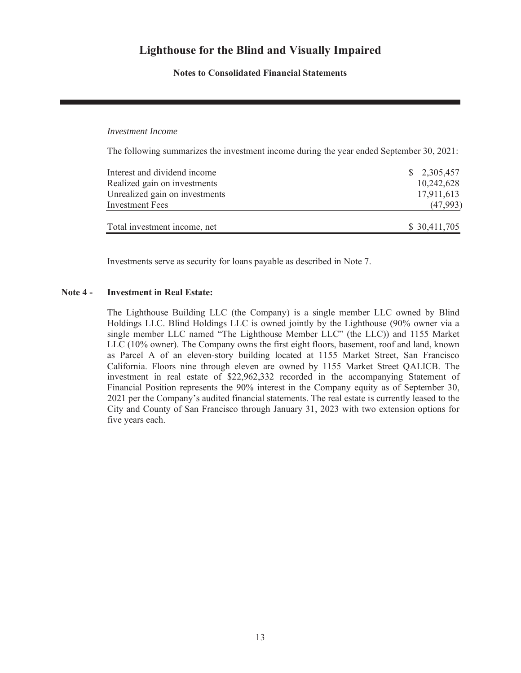**Notes to Consolidated Financial Statements**

#### *Investment Income*

The following summarizes the investment income during the year ended September 30, 2021:

| Interest and dividend income   | \$2,305,457  |
|--------------------------------|--------------|
| Realized gain on investments   | 10,242,628   |
| Unrealized gain on investments | 17,911,613   |
| Investment Fees                | (47,993)     |
| Total investment income, net   | \$30,411,705 |

Investments serve as security for loans payable as described in Note 7.

#### **Note 4 - Investment in Real Estate:**

The Lighthouse Building LLC (the Company) is a single member LLC owned by Blind Holdings LLC. Blind Holdings LLC is owned jointly by the Lighthouse (90% owner via a single member LLC named "The Lighthouse Member LLC" (the LLC)) and 1155 Market LLC (10% owner). The Company owns the first eight floors, basement, roof and land, known as Parcel A of an eleven-story building located at 1155 Market Street, San Francisco California. Floors nine through eleven are owned by 1155 Market Street QALICB. The investment in real estate of \$22,962,332 recorded in the accompanying Statement of Financial Position represents the 90% interest in the Company equity as of September 30, 2021 per the Company's audited financial statements. The real estate is currently leased to the City and County of San Francisco through January 31, 2023 with two extension options for five years each.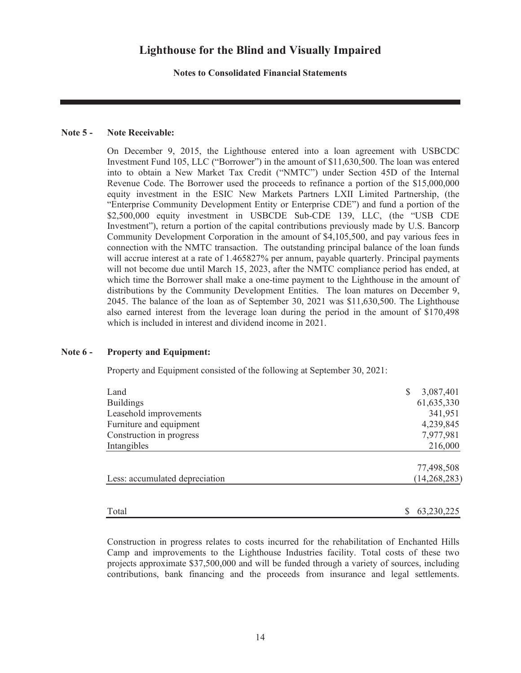**Notes to Consolidated Financial Statements**

#### **Note 5 - Note Receivable:**

On December 9, 2015, the Lighthouse entered into a loan agreement with USBCDC Investment Fund 105, LLC ("Borrower") in the amount of \$11,630,500. The loan was entered into to obtain a New Market Tax Credit ("NMTC") under Section 45D of the Internal Revenue Code. The Borrower used the proceeds to refinance a portion of the \$15,000,000 equity investment in the ESIC New Markets Partners LXII Limited Partnership, (the "Enterprise Community Development Entity or Enterprise CDE") and fund a portion of the \$2,500,000 equity investment in USBCDE Sub-CDE 139, LLC, (the "USB CDE Investment"), return a portion of the capital contributions previously made by U.S. Bancorp Community Development Corporation in the amount of \$4,105,500, and pay various fees in connection with the NMTC transaction. The outstanding principal balance of the loan funds will accrue interest at a rate of 1.465827% per annum, payable quarterly. Principal payments will not become due until March 15, 2023, after the NMTC compliance period has ended, at which time the Borrower shall make a one-time payment to the Lighthouse in the amount of distributions by the Community Development Entities. The loan matures on December 9, 2045. The balance of the loan as of September 30, 2021 was \$11,630,500. The Lighthouse also earned interest from the leverage loan during the period in the amount of \$170,498 which is included in interest and dividend income in 2021.

#### **Note 6 - Property and Equipment:**

Property and Equipment consisted of the following at September 30, 2021:

| 3,087,401      |
|----------------|
| 61,635,330     |
| 341,951        |
| 4,239,845      |
| 7,977,981      |
| 216,000        |
| 77,498,508     |
| (14, 268, 283) |
| 63,230,225     |
|                |

Construction in progress relates to costs incurred for the rehabilitation of Enchanted Hills Camp and improvements to the Lighthouse Industries facility. Total costs of these two projects approximate \$37,500,000 and will be funded through a variety of sources, including contributions, bank financing and the proceeds from insurance and legal settlements.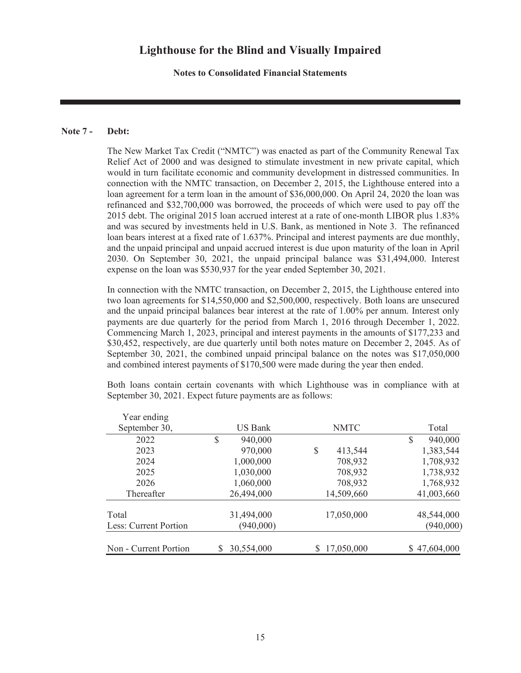**Notes to Consolidated Financial Statements**

### **Note 7 - Debt:**

The New Market Tax Credit ("NMTC") was enacted as part of the Community Renewal Tax Relief Act of 2000 and was designed to stimulate investment in new private capital, which would in turn facilitate economic and community development in distressed communities. In connection with the NMTC transaction, on December 2, 2015, the Lighthouse entered into a loan agreement for a term loan in the amount of \$36,000,000. On April 24, 2020 the loan was refinanced and \$32,700,000 was borrowed, the proceeds of which were used to pay off the 2015 debt. The original 2015 loan accrued interest at a rate of one-month LIBOR plus 1.83% and was secured by investments held in U.S. Bank, as mentioned in Note 3. The refinanced loan bears interest at a fixed rate of 1.637%. Principal and interest payments are due monthly, and the unpaid principal and unpaid accrued interest is due upon maturity of the loan in April 2030. On September 30, 2021, the unpaid principal balance was \$31,494,000. Interest expense on the loan was \$530,937 for the year ended September 30, 2021.

In connection with the NMTC transaction, on December 2, 2015, the Lighthouse entered into two loan agreements for \$14,550,000 and \$2,500,000, respectively. Both loans are unsecured and the unpaid principal balances bear interest at the rate of 1.00% per annum. Interest only payments are due quarterly for the period from March 1, 2016 through December 1, 2022. Commencing March 1, 2023, principal and interest payments in the amounts of \$177,233 and \$30,452, respectively, are due quarterly until both notes mature on December 2, 2045. As of September 30, 2021, the combined unpaid principal balance on the notes was \$17,050,000 and combined interest payments of \$170,500 were made during the year then ended.

| Year ending           |   |                |    |             |               |
|-----------------------|---|----------------|----|-------------|---------------|
| September 30,         |   | <b>US Bank</b> |    | <b>NMTC</b> | Total         |
| 2022                  | S | 940,000        |    |             | \$<br>940,000 |
| 2023                  |   | 970,000        | \$ | 413,544     | 1,383,544     |
| 2024                  |   | 1,000,000      |    | 708,932     | 1,708,932     |
| 2025                  |   | 1,030,000      |    | 708,932     | 1,738,932     |
| 2026                  |   | 1,060,000      |    | 708,932     | 1,768,932     |
| Thereafter            |   | 26,494,000     |    | 14,509,660  | 41,003,660    |
| Total                 |   | 31,494,000     |    | 17,050,000  | 48,544,000    |
| Less: Current Portion |   | (940,000)      |    |             | (940,000)     |
| Non - Current Portion |   | 30,554,000     | S  | 17,050,000  | \$47,604,000  |

Both loans contain certain covenants with which Lighthouse was in compliance with at September 30, 2021. Expect future payments are as follows: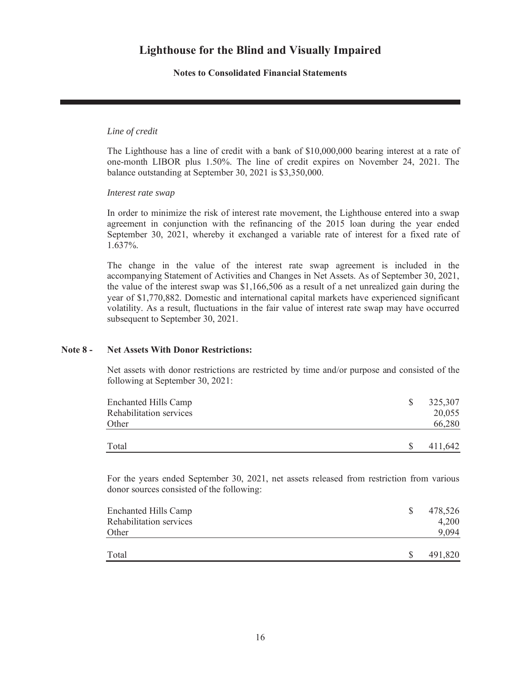**Notes to Consolidated Financial Statements**

### *Line of credit*

The Lighthouse has a line of credit with a bank of \$10,000,000 bearing interest at a rate of one-month LIBOR plus 1.50%. The line of credit expires on November 24, 2021. The balance outstanding at September 30, 2021 is \$3,350,000.

*Interest rate swap*

In order to minimize the risk of interest rate movement, the Lighthouse entered into a swap agreement in conjunction with the refinancing of the 2015 loan during the year ended September 30, 2021, whereby it exchanged a variable rate of interest for a fixed rate of 1.637%.

The change in the value of the interest rate swap agreement is included in the accompanying Statement of Activities and Changes in Net Assets. As of September 30, 2021, the value of the interest swap was \$1,166,506 as a result of a net unrealized gain during the year of \$1,770,882. Domestic and international capital markets have experienced significant volatility. As a result, fluctuations in the fair value of interest rate swap may have occurred subsequent to September 30, 2021.

#### **Note 8 - Net Assets With Donor Restrictions:**

Net assets with donor restrictions are restricted by time and/or purpose and consisted of the following at September 30, 2021:

| <b>Enchanted Hills Camp</b><br>Rehabilitation services<br>Other |   | 325,307<br>20,055<br>66,280 |
|-----------------------------------------------------------------|---|-----------------------------|
| Total                                                           | S | 411,642                     |

For the years ended September 30, 2021, net assets released from restriction from various donor sources consisted of the following:

| <b>Enchanted Hills Camp</b><br>Rehabilitation services<br>Other | \$.      | 478,526<br>4,200<br>9,094 |
|-----------------------------------------------------------------|----------|---------------------------|
| Total                                                           | <b>S</b> | 491,820                   |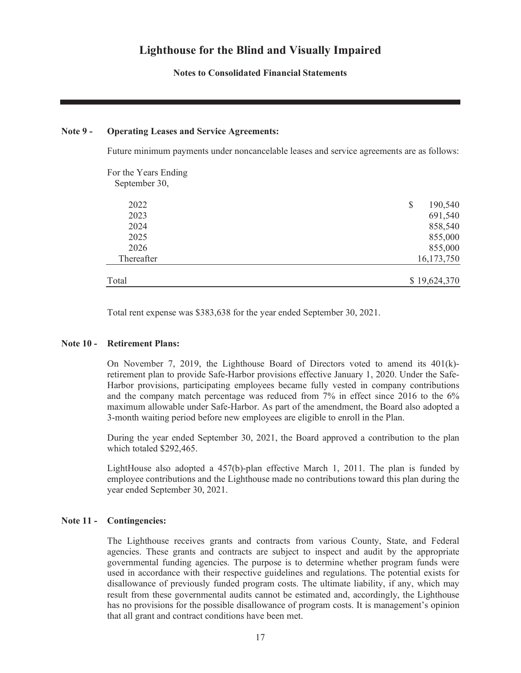**Notes to Consolidated Financial Statements**

#### **Note 9 - Operating Leases and Service Agreements:**

Future minimum payments under noncancelable leases and service agreements are as follows:

| For the Years Ending |               |
|----------------------|---------------|
| September 30,        |               |
| 2022                 | \$<br>190,540 |
| 2023                 | 691,540       |
| 2024                 | 858,540       |
| 2025                 | 855,000       |
| 2026                 | 855,000       |
| Thereafter           | 16,173,750    |
| Total                | \$19,624,370  |

Total rent expense was \$383,638 for the year ended September 30, 2021.

#### **Note 10 - Retirement Plans:**

On November 7, 2019, the Lighthouse Board of Directors voted to amend its 401(k) retirement plan to provide Safe-Harbor provisions effective January 1, 2020. Under the Safe-Harbor provisions, participating employees became fully vested in company contributions and the company match percentage was reduced from 7% in effect since 2016 to the 6% maximum allowable under Safe-Harbor. As part of the amendment, the Board also adopted a 3-month waiting period before new employees are eligible to enroll in the Plan.

During the year ended September 30, 2021, the Board approved a contribution to the plan which totaled \$292,465.

LightHouse also adopted a 457(b)-plan effective March 1, 2011. The plan is funded by employee contributions and the Lighthouse made no contributions toward this plan during the year ended September 30, 2021.

#### **Note 11 - Contingencies:**

The Lighthouse receives grants and contracts from various County, State, and Federal agencies. These grants and contracts are subject to inspect and audit by the appropriate governmental funding agencies. The purpose is to determine whether program funds were used in accordance with their respective guidelines and regulations. The potential exists for disallowance of previously funded program costs. The ultimate liability, if any, which may result from these governmental audits cannot be estimated and, accordingly, the Lighthouse has no provisions for the possible disallowance of program costs. It is management's opinion that all grant and contract conditions have been met.